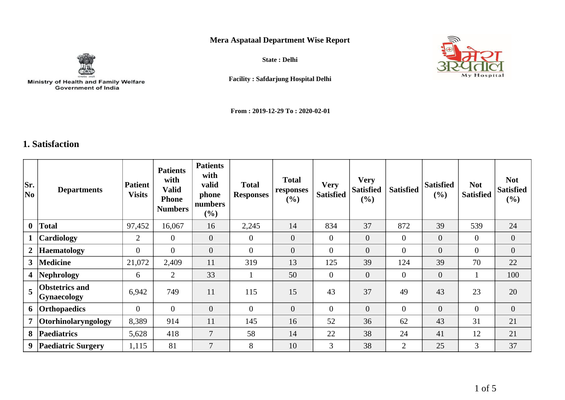## **Mera Aspataal Department Wise Report**



Ministry of Health and Family Welfare<br>Government of India

**State : Delhi**



**Facility : Safdarjung Hospital Delhi**

**From : 2019-12-29 To : 2020-02-01**

## **1. Satisfaction**

| Sr.<br>No      | <b>Departments</b>                   | <b>Patient</b><br><b>Visits</b> | <b>Patients</b><br>with<br><b>Valid</b><br><b>Phone</b><br><b>Numbers</b> | <b>Patients</b><br>with<br>valid<br>phone<br>numbers<br>$(\%)$ | <b>Total</b><br><b>Responses</b> | <b>Total</b><br>responses<br>(%) | <b>Very</b><br><b>Satisfied</b> | <b>Very</b><br><b>Satisfied</b><br>(%) | <b>Satisfied</b> | <b>Satisfied</b><br>$(\%)$ | <b>Not</b><br><b>Satisfied</b> | <b>Not</b><br><b>Satisfied</b><br>$(\%)$ |
|----------------|--------------------------------------|---------------------------------|---------------------------------------------------------------------------|----------------------------------------------------------------|----------------------------------|----------------------------------|---------------------------------|----------------------------------------|------------------|----------------------------|--------------------------------|------------------------------------------|
| $\mathbf{0}$   | <b>Total</b>                         | 97,452                          | 16,067                                                                    | 16                                                             | 2,245                            | 14                               | 834                             | 37                                     | 872              | 39                         | 539                            | 24                                       |
| $\mathbf{1}$   | <b>Cardiology</b>                    | 2                               | $\overline{0}$                                                            | $\overline{0}$                                                 | $\overline{0}$                   | $\overline{0}$                   | $\overline{0}$                  | $\theta$                               | $\overline{0}$   | $\overline{0}$             | $\Omega$                       | $\overline{0}$                           |
| $\mathbf{2}$   | <b>Haematology</b>                   | $\overline{0}$                  | $\overline{0}$                                                            | $\overline{0}$                                                 | $\overline{0}$                   | $\overline{0}$                   | $\overline{0}$                  | $\overline{0}$                         | $\overline{0}$   | $\overline{0}$             | $\overline{0}$                 | $\overline{0}$                           |
| 3 <sup>1</sup> | Medicine                             | 21,072                          | 2,409                                                                     | 11                                                             | 319                              | 13                               | 125                             | 39                                     | 124              | 39                         | 70                             | 22                                       |
|                | 4 Nephrology                         | 6                               | 2                                                                         | 33                                                             | 1                                | 50                               | $\mathbf{0}$                    | $\mathbf{0}$                           | $\overline{0}$   | $\overline{0}$             |                                | 100                                      |
| 5              | <b>Obstetrics and</b><br>Gynaecology | 6,942                           | 749                                                                       | 11                                                             | 115                              | 15                               | 43                              | 37                                     | 49               | 43                         | 23                             | 20                                       |
|                | 6 Orthopaedics                       | $\theta$                        | $\overline{0}$                                                            | $\overline{0}$                                                 | $\overline{0}$                   | $\overline{0}$                   | $\overline{0}$                  | $\overline{0}$                         | $\overline{0}$   | $\mathbf{0}$               | $\overline{0}$                 | $\overline{0}$                           |
|                | 7 Otorhinolaryngology                | 8,389                           | 914                                                                       | 11                                                             | 145                              | 16                               | 52                              | 36                                     | 62               | 43                         | 31                             | 21                                       |
| 8              | <b>Paediatrics</b>                   | 5,628                           | 418                                                                       | $\overline{7}$                                                 | 58                               | 14                               | 22                              | 38                                     | 24               | 41                         | 12                             | 21                                       |
| 9              | <b>Paediatric Surgery</b>            | 1,115                           | 81                                                                        | $\overline{7}$                                                 | 8                                | 10                               | $\overline{3}$                  | 38                                     | $\overline{2}$   | 25                         | 3                              | 37                                       |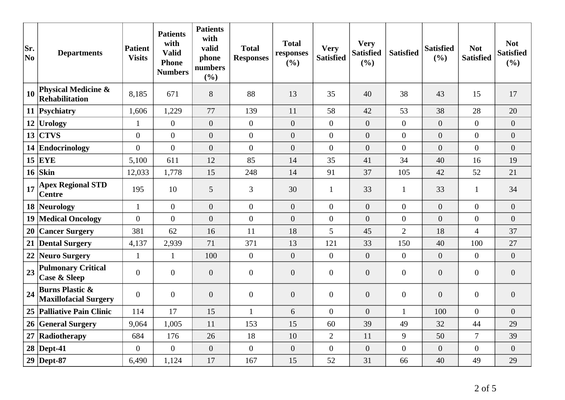| Sr.<br>No | <b>Departments</b>                                         | <b>Patient</b><br><b>Visits</b> | <b>Patients</b><br>with<br><b>Valid</b><br><b>Phone</b><br><b>Numbers</b> | <b>Patients</b><br>with<br>valid<br>phone<br>numbers<br>(%) | <b>Total</b><br><b>Responses</b> | <b>Total</b><br>responses<br>(%) | <b>Very</b><br><b>Satisfied</b> | <b>Very</b><br><b>Satisfied</b><br>(%) | <b>Satisfied</b> | <b>Satisfied</b><br>(%) | <b>Not</b><br><b>Satisfied</b> | <b>Not</b><br><b>Satisfied</b><br>(%) |
|-----------|------------------------------------------------------------|---------------------------------|---------------------------------------------------------------------------|-------------------------------------------------------------|----------------------------------|----------------------------------|---------------------------------|----------------------------------------|------------------|-------------------------|--------------------------------|---------------------------------------|
| 10        | <b>Physical Medicine &amp;</b><br>Rehabilitation           | 8,185                           | 671                                                                       | 8                                                           | 88                               | 13                               | 35                              | 40                                     | 38               | 43                      | 15                             | 17                                    |
|           | 11 Psychiatry                                              | 1,606                           | 1,229                                                                     | 77                                                          | 139                              | 11                               | 58                              | 42                                     | 53               | 38                      | 28                             | 20                                    |
|           | 12 Urology                                                 | $\mathbf{1}$                    | $\overline{0}$                                                            | $\overline{0}$                                              | $\mathbf{0}$                     | $\overline{0}$                   | $\overline{0}$                  | $\boldsymbol{0}$                       | $\overline{0}$   | $\overline{0}$          | $\overline{0}$                 | $\overline{0}$                        |
| 13        | <b>CTVS</b>                                                | $\overline{0}$                  | $\overline{0}$                                                            | $\overline{0}$                                              | $\overline{0}$                   | $\overline{0}$                   | $\overline{0}$                  | $\overline{0}$                         | $\overline{0}$   | $\overline{0}$          | $\overline{0}$                 | $\overline{0}$                        |
|           | 14 Endocrinology                                           | $\overline{0}$                  | $\overline{0}$                                                            | $\overline{0}$                                              | $\overline{0}$                   | $\overline{0}$                   | $\overline{0}$                  | $\overline{0}$                         | $\overline{0}$   | $\overline{0}$          | $\overline{0}$                 | $\overline{0}$                        |
|           | $15$ EYE                                                   | 5,100                           | 611                                                                       | 12                                                          | 85                               | 14                               | 35                              | 41                                     | 34               | 40                      | 16                             | 19                                    |
|           | $16$ Skin                                                  | 12,033                          | 1,778                                                                     | 15                                                          | 248                              | 14                               | 91                              | 37                                     | 105              | 42                      | 52                             | 21                                    |
| 17        | <b>Apex Regional STD</b><br><b>Centre</b>                  | 195                             | 10                                                                        | 5                                                           | 3                                | 30                               | $\mathbf{1}$                    | 33                                     | $\mathbf{1}$     | 33                      | $\mathbf{1}$                   | 34                                    |
|           | 18 Neurology                                               | $\mathbf{1}$                    | $\overline{0}$                                                            | $\overline{0}$                                              | $\overline{0}$                   | $\overline{0}$                   | $\overline{0}$                  | $\overline{0}$                         | $\overline{0}$   | $\overline{0}$          | $\overline{0}$                 | $\overline{0}$                        |
|           | 19 Medical Oncology                                        | $\overline{0}$                  | $\overline{0}$                                                            | $\overline{0}$                                              | $\overline{0}$                   | $\overline{0}$                   | $\overline{0}$                  | $\overline{0}$                         | $\overline{0}$   | $\overline{0}$          | $\overline{0}$                 | $\overline{0}$                        |
| 20        | <b>Cancer Surgery</b>                                      | 381                             | 62                                                                        | 16                                                          | 11                               | 18                               | 5                               | 45                                     | $\overline{2}$   | 18                      | $\overline{4}$                 | 37                                    |
|           | 21 Dental Surgery                                          | 4,137                           | 2,939                                                                     | 71                                                          | 371                              | 13                               | 121                             | 33                                     | 150              | 40                      | 100                            | 27                                    |
| 22        | Neuro Surgery                                              | $\mathbf{1}$                    | $\mathbf{1}$                                                              | 100                                                         | $\overline{0}$                   | $\overline{0}$                   | $\overline{0}$                  | $\overline{0}$                         | $\overline{0}$   | $\overline{0}$          | $\Omega$                       | $\overline{0}$                        |
| 23        | <b>Pulmonary Critical</b><br><b>Case &amp; Sleep</b>       | $\boldsymbol{0}$                | $\mathbf{0}$                                                              | $\overline{0}$                                              | $\overline{0}$                   | $\overline{0}$                   | $\overline{0}$                  | $\overline{0}$                         | $\overline{0}$   | $\overline{0}$          | $\overline{0}$                 | $\overline{0}$                        |
| 24        | <b>Burns Plastic &amp;</b><br><b>Maxillofacial Surgery</b> | $\overline{0}$                  | $\overline{0}$                                                            | $\overline{0}$                                              | $\overline{0}$                   | $\overline{0}$                   | $\boldsymbol{0}$                | $\overline{0}$                         | $\overline{0}$   | $\overline{0}$          | $\boldsymbol{0}$               | $\overline{0}$                        |
|           | 25   Palliative Pain Clinic                                | 114                             | 17                                                                        | 15                                                          | $\mathbf{1}$                     | 6                                | $\overline{0}$                  | $\overline{0}$                         | $\mathbf{1}$     | 100                     | $\Omega$                       | $\overline{0}$                        |
|           | 26 General Surgery                                         | 9,064                           | 1,005                                                                     | 11                                                          | 153                              | 15                               | 60                              | 39                                     | 49               | 32                      | 44                             | 29                                    |
| 27        | Radiotherapy                                               | 684                             | 176                                                                       | 26                                                          | 18                               | 10                               | $\mathbf{2}$                    | 11                                     | 9                | 50                      | $\overline{7}$                 | 39                                    |
|           | $28$ Dept-41                                               | $\overline{0}$                  | $\overline{0}$                                                            | $\overline{0}$                                              | $\overline{0}$                   | $\overline{0}$                   | $\boldsymbol{0}$                | $\boldsymbol{0}$                       | $\boldsymbol{0}$ | $\overline{0}$          | $\Omega$                       | $\overline{0}$                        |
|           | $29$ Dept-87                                               | 6,490                           | 1,124                                                                     | 17                                                          | 167                              | 15                               | 52                              | 31                                     | 66               | 40                      | 49                             | 29                                    |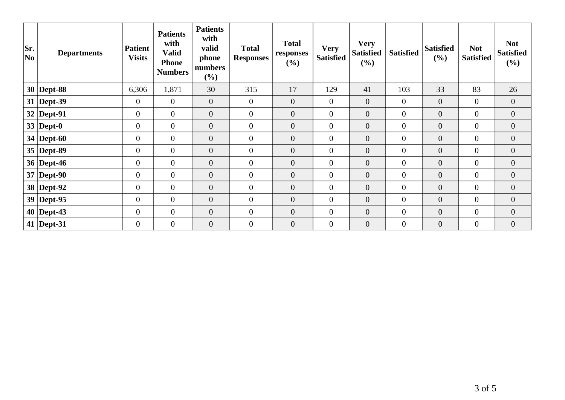| Sr.<br> No | <b>Departments</b> | <b>Patient</b><br><b>Visits</b> | <b>Patients</b><br>with<br><b>Valid</b><br><b>Phone</b><br><b>Numbers</b> | <b>Patients</b><br>with<br>valid<br>phone<br>numbers<br>(%) | <b>Total</b><br><b>Responses</b> | <b>Total</b><br>responses<br>(%) | <b>Very</b><br><b>Satisfied</b> | <b>Very</b><br><b>Satisfied</b><br>(%) | <b>Satisfied</b> | <b>Satisfied</b><br>(%) | <b>Not</b><br><b>Satisfied</b> | <b>Not</b><br><b>Satisfied</b><br>$(\%)$ |
|------------|--------------------|---------------------------------|---------------------------------------------------------------------------|-------------------------------------------------------------|----------------------------------|----------------------------------|---------------------------------|----------------------------------------|------------------|-------------------------|--------------------------------|------------------------------------------|
|            | $30$ Dept-88       | 6,306                           | 1,871                                                                     | 30                                                          | 315                              | 17                               | 129                             | 41                                     | 103              | 33                      | 83                             | 26                                       |
|            | $31$ Dept-39       | $\mathbf{0}$                    | $\overline{0}$                                                            | $\mathbf{0}$                                                | $\overline{0}$                   | $\overline{0}$                   | $\overline{0}$                  | $\mathbf{0}$                           | $\overline{0}$   | $\overline{0}$          | $\overline{0}$                 | $\overline{0}$                           |
|            | $32$ Dept-91       | $\overline{0}$                  | $\overline{0}$                                                            | $\overline{0}$                                              | $\overline{0}$                   | $\overline{0}$                   | $\overline{0}$                  | $\overline{0}$                         | $\overline{0}$   | $\boldsymbol{0}$        | $\overline{0}$                 | $\overline{0}$                           |
|            | 33   Dept-0        | $\boldsymbol{0}$                | $\overline{0}$                                                            | $\overline{0}$                                              | $\overline{0}$                   | $\overline{0}$                   | $\mathbf{0}$                    | $\boldsymbol{0}$                       | $\overline{0}$   | $\overline{0}$          | $\overline{0}$                 | $\overline{0}$                           |
|            | 34   Dept-60       | $\boldsymbol{0}$                | $\overline{0}$                                                            | $\mathbf{0}$                                                | $\mathbf{0}$                     | $\boldsymbol{0}$                 | $\boldsymbol{0}$                | $\boldsymbol{0}$                       | $\overline{0}$   | $\boldsymbol{0}$        | $\overline{0}$                 | $\overline{0}$                           |
|            | $35$ Dept-89       | $\mathbf{0}$                    | $\overline{0}$                                                            | $\overline{0}$                                              | $\mathbf{0}$                     | $\overline{0}$                   | $\mathbf{0}$                    | $\overline{0}$                         | $\overline{0}$   | $\overline{0}$          | $\overline{0}$                 | $\overline{0}$                           |
|            | 36   Dept-46       | $\boldsymbol{0}$                | $\overline{0}$                                                            | $\overline{0}$                                              | $\overline{0}$                   | $\overline{0}$                   | $\overline{0}$                  | $\overline{0}$                         | $\overline{0}$   | $\overline{0}$          | $\overline{0}$                 | $\overline{0}$                           |
|            | $37$ Dept-90       | $\overline{0}$                  | $\overline{0}$                                                            | $\theta$                                                    | $\mathbf{0}$                     | $\overline{0}$                   | $\mathbf{0}$                    | $\mathbf{0}$                           | $\overline{0}$   | $\overline{0}$          | $\overline{0}$                 | $\overline{0}$                           |
|            | 38 Dept-92         | $\boldsymbol{0}$                | $\overline{0}$                                                            | $\boldsymbol{0}$                                            | $\overline{0}$                   | $\boldsymbol{0}$                 | $\boldsymbol{0}$                | $\boldsymbol{0}$                       | $\overline{0}$   | $\boldsymbol{0}$        | $\boldsymbol{0}$               | $\overline{0}$                           |
|            | $39$ Dept-95       | $\mathbf{0}$                    | $\overline{0}$                                                            | $\mathbf{0}$                                                | $\mathbf{0}$                     | $\overline{0}$                   | $\mathbf{0}$                    | $\boldsymbol{0}$                       | $\overline{0}$   | $\boldsymbol{0}$        | $\overline{0}$                 | $\boldsymbol{0}$                         |
|            | $40$ Dept-43       | $\mathbf{0}$                    | $\boldsymbol{0}$                                                          | $\boldsymbol{0}$                                            | $\mathbf{0}$                     | $\overline{0}$                   | $\mathbf{0}$                    | $\overline{0}$                         | $\overline{0}$   | $\boldsymbol{0}$        | $\overline{0}$                 | $\overline{0}$                           |
|            | 41   Dept-31       | $\overline{0}$                  | $\overline{0}$                                                            | $\overline{0}$                                              | $\overline{0}$                   | $\overline{0}$                   | $\mathbf{0}$                    | $\overline{0}$                         | $\overline{0}$   | $\overline{0}$          | $\overline{0}$                 | $\overline{0}$                           |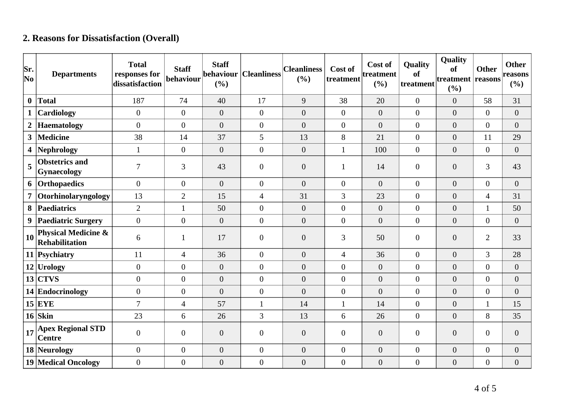## **2. Reasons for Dissatisfaction (Overall)**

| Sr.<br>$ N_{0} $ | <b>Departments</b>                                      | <b>Total</b><br>responses for<br>dissatisfaction | <b>Staff</b><br>behaviour | <b>Staff</b><br>behaviour<br>(%) | <b>Cleanliness</b> | <b>Cleanliness</b><br>(%) | Cost of<br>treatment | Cost of<br>treatment<br>(%) | Quality<br>of<br>treatment | Quality<br>of<br>treatment reasons<br>(%) | <b>Other</b>     | <b>Other</b><br>reasons<br>$(\%)$ |
|------------------|---------------------------------------------------------|--------------------------------------------------|---------------------------|----------------------------------|--------------------|---------------------------|----------------------|-----------------------------|----------------------------|-------------------------------------------|------------------|-----------------------------------|
| $\bf{0}$         | <b>Total</b>                                            | 187                                              | 74                        | 40                               | 17                 | 9                         | 38                   | 20                          | $\boldsymbol{0}$           | $\overline{0}$                            | 58               | 31                                |
| $\mathbf{1}$     | Cardiology                                              | $\overline{0}$                                   | $\overline{0}$            | $\overline{0}$                   | $\overline{0}$     | $\overline{0}$            | $\overline{0}$       | $\boldsymbol{0}$            | $\boldsymbol{0}$           | $\overline{0}$                            | $\overline{0}$   | $\boldsymbol{0}$                  |
| $\boldsymbol{2}$ | <b>Haematology</b>                                      | $\overline{0}$                                   | $\overline{0}$            | $\overline{0}$                   | $\overline{0}$     | $\overline{0}$            | $\overline{0}$       | $\overline{0}$              | $\overline{0}$             | $\overline{0}$                            | $\overline{0}$   | $\overline{0}$                    |
| 3 <sup>1</sup>   | <b>Medicine</b>                                         | 38                                               | 14                        | 37                               | 5                  | 13                        | 8                    | 21                          | $\boldsymbol{0}$           | $\overline{0}$                            | 11               | 29                                |
| 4                | <b>Nephrology</b>                                       | $\mathbf{1}$                                     | $\boldsymbol{0}$          | $\overline{0}$                   | $\overline{0}$     | $\overline{0}$            |                      | 100                         | $\boldsymbol{0}$           | $\overline{0}$                            | $\overline{0}$   | $\boldsymbol{0}$                  |
| 5                | <b>Obstetrics and</b><br><b>Gynaecology</b>             | $\overline{7}$                                   | 3                         | 43                               | $\overline{0}$     | $\theta$                  |                      | 14                          | $\overline{0}$             | $\overline{0}$                            | 3                | 43                                |
| 6                | Orthopaedics                                            | $\overline{0}$                                   | $\overline{0}$            | $\overline{0}$                   | $\overline{0}$     | $\overline{0}$            | $\overline{0}$       | $\overline{0}$              | $\boldsymbol{0}$           | $\overline{0}$                            | $\overline{0}$   | $\overline{0}$                    |
| $\overline{7}$   | Otorhinolaryngology                                     | 13                                               | $\overline{2}$            | 15                               | $\overline{4}$     | 31                        | 3                    | 23                          | $\overline{0}$             | $\overline{0}$                            | $\overline{4}$   | 31                                |
| 8                | Paediatrics                                             | $\overline{2}$                                   | $\mathbf{1}$              | 50                               | $\overline{0}$     | $\overline{0}$            | $\overline{0}$       | $\boldsymbol{0}$            | $\boldsymbol{0}$           | $\overline{0}$                            | $\mathbf{1}$     | 50                                |
| 9                | <b>Paediatric Surgery</b>                               | $\overline{0}$                                   | $\boldsymbol{0}$          | $\overline{0}$                   | $\overline{0}$     | $\theta$                  | $\overline{0}$       | $\overline{0}$              | $\overline{0}$             | $\overline{0}$                            | $\overline{0}$   | $\boldsymbol{0}$                  |
| 10               | <b>Physical Medicine &amp;</b><br><b>Rehabilitation</b> | 6                                                | 1                         | 17                               | $\overline{0}$     | $\boldsymbol{0}$          | 3                    | 50                          | $\boldsymbol{0}$           | $\overline{0}$                            | $\overline{2}$   | 33                                |
|                  | 11 Psychiatry                                           | 11                                               | $\overline{4}$            | 36                               | $\overline{0}$     | $\overline{0}$            | $\overline{4}$       | 36                          | $\boldsymbol{0}$           | $\overline{0}$                            | 3                | 28                                |
|                  | $12$ Urology                                            | $\Omega$                                         | $\overline{0}$            | $\overline{0}$                   | $\overline{0}$     | $\overline{0}$            | $\overline{0}$       | $\overline{0}$              | $\overline{0}$             | $\overline{0}$                            | $\overline{0}$   | $\overline{0}$                    |
|                  | $13$ CTVS                                               | $\mathbf{0}$                                     | $\overline{0}$            | $\overline{0}$                   | $\overline{0}$     | $\overline{0}$            | $\overline{0}$       | $\overline{0}$              | $\overline{0}$             | $\overline{0}$                            | $\boldsymbol{0}$ | $\boldsymbol{0}$                  |
|                  | 14 Endocrinology                                        | $\theta$                                         | $\overline{0}$            | $\overline{0}$                   | $\overline{0}$     | $\theta$                  | $\overline{0}$       | $\overline{0}$              | $\overline{0}$             | $\overline{0}$                            | $\boldsymbol{0}$ | $\overline{0}$                    |
|                  | $15$ EYE                                                | $\overline{7}$                                   | $\overline{4}$            | 57                               | $\mathbf{1}$       | 14                        | 1                    | 14                          | $\boldsymbol{0}$           | $\overline{0}$                            | $\mathbf{1}$     | 15                                |
|                  | $16$ Skin                                               | 23                                               | 6                         | 26                               | $\overline{3}$     | 13                        | 6                    | 26                          | $\overline{0}$             | $\overline{0}$                            | 8                | 35                                |
| 17               | <b>Apex Regional STD</b><br><b>Centre</b>               | $\theta$                                         | $\overline{0}$            | $\boldsymbol{0}$                 | $\overline{0}$     | $\boldsymbol{0}$          | $\overline{0}$       | $\boldsymbol{0}$            | $\overline{0}$             | $\overline{0}$                            | $\boldsymbol{0}$ | $\boldsymbol{0}$                  |
|                  | 18 Neurology                                            | $\overline{0}$                                   | $\boldsymbol{0}$          | $\boldsymbol{0}$                 | $\overline{0}$     | $\boldsymbol{0}$          | $\overline{0}$       | $\boldsymbol{0}$            | $\overline{0}$             | $\overline{0}$                            | $\boldsymbol{0}$ | $\boldsymbol{0}$                  |
|                  | <b>19 Medical Oncology</b>                              | $\overline{0}$                                   | $\boldsymbol{0}$          | $\boldsymbol{0}$                 | $\overline{0}$     | $\boldsymbol{0}$          | $\overline{0}$       | $\boldsymbol{0}$            | $\boldsymbol{0}$           | $\boldsymbol{0}$                          | $\boldsymbol{0}$ | $\boldsymbol{0}$                  |